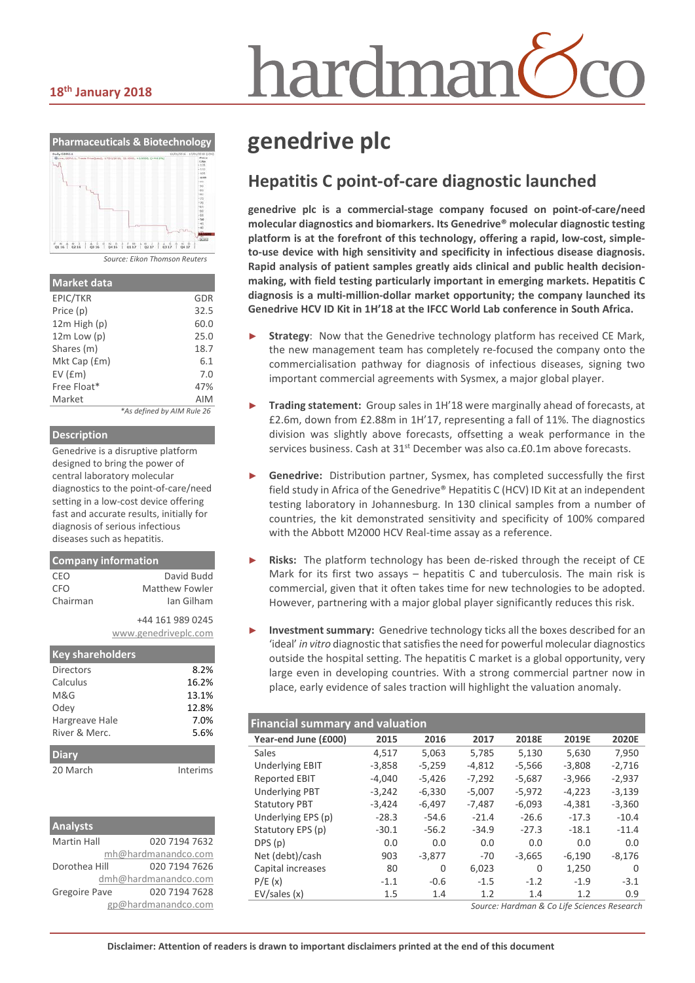# nardmar

#### **18th January 2018**



*Source: Eikon Thomson Reuters*

| <b>Market data</b> |                            |
|--------------------|----------------------------|
| EPIC/TKR           | GDR                        |
| Price (p)          | 32.5                       |
| $12m$ High $(p)$   | 60.0                       |
| $12m$ Low $(p)$    | 25.0                       |
| Shares (m)         | 18.7                       |
| Mkt Cap (£m)       | 6.1                        |
| $EV$ ( $Em$ )      | 7.0                        |
| Free Float*        | 47%                        |
| Market             | <b>AIM</b>                 |
|                    | *As defined by AIM Rule 26 |

#### **Description**

Genedrive is a disruptive platform designed to bring the power of central laboratory molecular diagnostics to the point-of-care/need setting in a low-cost device offering fast and accurate results, initially for diagnosis of serious infectious diseases such as hepatitis.

| <b>Company information</b> |                                          |  |  |  |  |
|----------------------------|------------------------------------------|--|--|--|--|
| CEO                        | David Budd                               |  |  |  |  |
| CFO                        | Matthew Fowler                           |  |  |  |  |
| Chairman                   | Ian Gilham                               |  |  |  |  |
|                            | +44 161 989 0245<br>www.genedriveplc.com |  |  |  |  |
| <b>Key shareholders</b>    |                                          |  |  |  |  |
| Directors                  | 8.2%                                     |  |  |  |  |
| Calculus                   | 16.2%                                    |  |  |  |  |
| M&G                        | 13.1%                                    |  |  |  |  |

| <b>IVIQU</b>   | 13.I/0   |
|----------------|----------|
| Odev           | 12.8%    |
| Hargreave Hale | 7.0%     |
| River & Merc.  | 5.6%     |
| <b>Diary</b>   |          |
| 20 March       | Interims |

| <b>Analysts</b>      |                     |  |  |  |
|----------------------|---------------------|--|--|--|
| <b>Martin Hall</b>   | 020 7194 7632       |  |  |  |
|                      | mh@hardmanandco.com |  |  |  |
| Dorothea Hill        | 020 7194 7626       |  |  |  |
| dmh@hardmanandco.com |                     |  |  |  |
| Gregoire Pave        | 020 7194 7628       |  |  |  |
|                      | gp@hardmanandco.com |  |  |  |

# **genedrive plc**

#### **Hepatitis C point-of-care diagnostic launched**

**genedrive plc is a commercial-stage company focused on point-of-care/need molecular diagnostics and biomarkers. Its Genedrive® molecular diagnostic testing platform is at the forefront of this technology, offering a rapid, low-cost, simpleto-use device with high sensitivity and specificity in infectious disease diagnosis. Rapid analysis of patient samples greatly aids clinical and public health decisionmaking, with field testing particularly important in emerging markets. Hepatitis C diagnosis is a multi-million-dollar market opportunity; the company launched its Genedrive HCV ID Kit in 1H'18 at the IFCC World Lab conference in South Africa.**

- Strategy: Now that the Genedrive technology platform has received CE Mark, the new management team has completely re-focused the company onto the commercialisation pathway for diagnosis of infectious diseases, signing two important commercial agreements with Sysmex, a major global player.
- ► **Trading statement:** Group sales in 1H'18 were marginally ahead of forecasts, at £2.6m, down from £2.88m in 1H'17, representing a fall of 11%. The diagnostics division was slightly above forecasts, offsetting a weak performance in the services business. Cash at 31<sup>st</sup> December was also ca.£0.1m above forecasts.
- Genedrive: Distribution partner, Sysmex, has completed successfully the first field study in Africa of the Genedrive® Hepatitis C (HCV) ID Kit at an independent testing laboratory in Johannesburg. In 130 clinical samples from a number of countries, the kit demonstrated sensitivity and specificity of 100% compared with the Abbott M2000 HCV Real-time assay as a reference.
- **Risks:** The platform technology has been de-risked through the receipt of CE Mark for its first two assays – hepatitis C and tuberculosis. The main risk is commercial, given that it often takes time for new technologies to be adopted. However, partnering with a major global player significantly reduces this risk.
- Investment summary: Genedrive technology ticks all the boxes described for an 'ideal' *in vitro* diagnostic that satisfies the need for powerful molecular diagnostics outside the hospital setting. The hepatitis C market is a global opportunity, very large even in developing countries. With a strong commercial partner now in place, early evidence of sales traction will highlight the valuation anomaly.

| <b>Financial summary and valuation</b> |          |          |          |          |          |          |  |
|----------------------------------------|----------|----------|----------|----------|----------|----------|--|
| Year-end June (£000)                   | 2015     | 2016     | 2017     | 2018E    | 2019E    | 2020E    |  |
| Sales                                  | 4,517    | 5,063    | 5,785    | 5,130    | 5,630    | 7,950    |  |
| <b>Underlying EBIT</b>                 | $-3,858$ | $-5,259$ | $-4,812$ | $-5,566$ | $-3,808$ | $-2,716$ |  |
| <b>Reported EBIT</b>                   | $-4,040$ | $-5,426$ | $-7,292$ | $-5,687$ | $-3,966$ | $-2,937$ |  |
| <b>Underlying PBT</b>                  | $-3,242$ | $-6,330$ | $-5,007$ | $-5,972$ | $-4,223$ | $-3,139$ |  |
| <b>Statutory PBT</b>                   | $-3,424$ | $-6,497$ | $-7,487$ | $-6,093$ | $-4,381$ | $-3,360$ |  |
| Underlying EPS (p)                     | $-28.3$  | $-54.6$  | $-21.4$  | $-26.6$  | $-17.3$  | $-10.4$  |  |
| Statutory EPS (p)                      | $-30.1$  | $-56.2$  | $-34.9$  | $-27.3$  | $-18.1$  | $-11.4$  |  |
| DPS(p)                                 | 0.0      | 0.0      | 0.0      | 0.0      | 0.0      | 0.0      |  |
| Net (debt)/cash                        | 903      | $-3,877$ | $-70$    | $-3,665$ | $-6,190$ | $-8,176$ |  |
| Capital increases                      | 80       | $\Omega$ | 6,023    | 0        | 1,250    | $\Omega$ |  |
| P/E(x)                                 | $-1.1$   | $-0.6$   | $-1.5$   | $-1.2$   | $-1.9$   | $-3.1$   |  |
| EV/sales(x)                            | 1.5      | 1.4      | 1.2      | 1.4      | 1.2      | 0.9      |  |

*Source: Hardman & Co Life Sciences Research*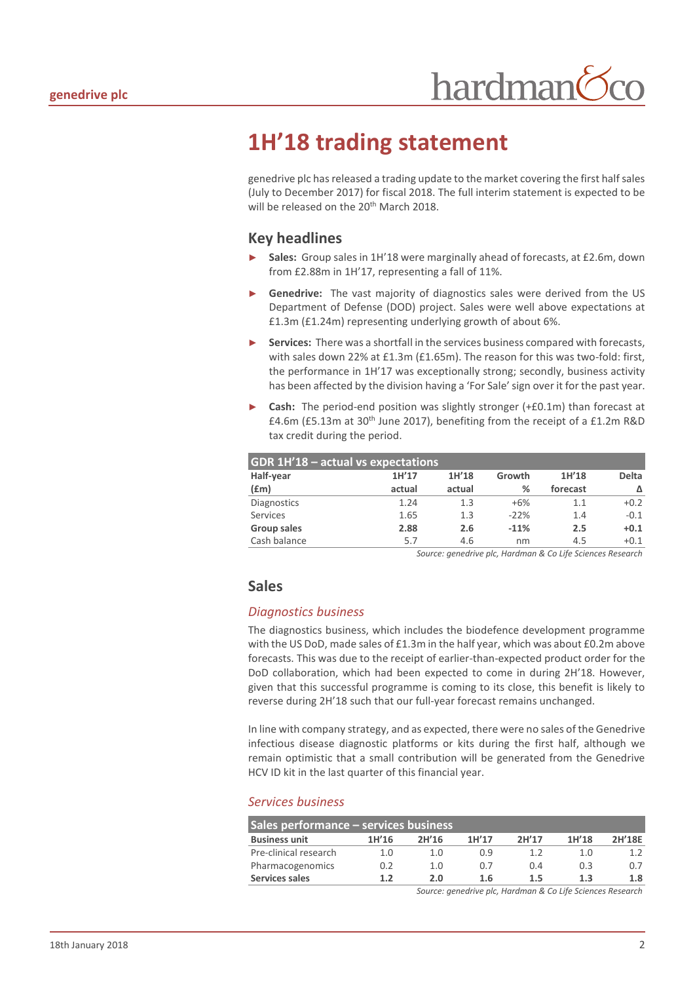# **1H'18 trading statement**

genedrive plc has released a trading update to the market covering the first half sales (July to December 2017) for fiscal 2018. The full interim statement is expected to be will be released on the 20<sup>th</sup> March 2018.

#### **Key headlines**

- ► **Sales:** Group sales in 1H'18 were marginally ahead of forecasts, at £2.6m, down from £2.88m in 1H'17, representing a fall of 11%.
- Genedrive: The vast majority of diagnostics sales were derived from the US Department of Defense (DOD) project. Sales were well above expectations at £1.3m (£1.24m) representing underlying growth of about 6%.
- ► **Services:** There was a shortfall in the services business compared with forecasts, with sales down 22% at £1.3m (£1.65m). The reason for this was two-fold: first, the performance in 1H'17 was exceptionally strong; secondly, business activity has been affected by the division having a 'For Sale' sign over it for the past year.
- **Cash:** The period-end position was slightly stronger (+£0.1m) than forecast at £4.6m (£5.13m at 30<sup>th</sup> June 2017), benefiting from the receipt of a £1.2m R&D tax credit during the period.

| <b>GDR 1H'18 - actual vs expectations</b> |        |        |        |          |              |  |  |
|-------------------------------------------|--------|--------|--------|----------|--------------|--|--|
| Half-year                                 | 1H'17  | 1H'18  | Growth | 1H'18    | <b>Delta</b> |  |  |
| (f <sub>Em</sub> )                        | actual | actual | %      | forecast | Δ            |  |  |
| Diagnostics                               | 1.24   | 1.3    | $+6%$  | 1.1      | $+0.2$       |  |  |
| Services                                  | 1.65   | 1.3    | $-22%$ | 1.4      | $-0.1$       |  |  |
| Group sales                               | 2.88   | 2.6    | $-11%$ | 2.5      | $+0.1$       |  |  |
| Cash balance                              | 5.7    | 4.6    | nm     | 4.5      | $+0.1$       |  |  |

*Source: genedrive plc, Hardman & Co Life Sciences Research*

#### **Sales**

#### *Diagnostics business*

The diagnostics business, which includes the biodefence development programme with the US DoD, made sales of £1.3m in the half year, which was about £0.2m above forecasts. This was due to the receipt of earlier-than-expected product order for the DoD collaboration, which had been expected to come in during 2H'18. However, given that this successful programme is coming to its close, this benefit is likely to reverse during 2H'18 such that our full-year forecast remains unchanged.

In line with company strategy, and as expected, there were no sales of the Genedrive infectious disease diagnostic platforms or kits during the first half, although we remain optimistic that a small contribution will be generated from the Genedrive HCV ID kit in the last quarter of this financial year.

#### *Services business*

| Sales performance – services business |       |        |       |       |       |                          |  |
|---------------------------------------|-------|--------|-------|-------|-------|--------------------------|--|
| <b>Business unit</b>                  | 1H'16 | 2H'16  | 1H'17 | 2H'17 | 1H'18 | 2H'18E                   |  |
| Pre-clinical research                 | 1.0   | 1.0    | 0.9   | 12    | 1.0   |                          |  |
| Pharmacogenomics                      | 0.2   | 1.0    | 0.7   | 0.4   | 0.3   | 0.7                      |  |
| Services sales                        | 1.2   | 2.0    | 1.6   | 1.5   | 1.3   | 1.8                      |  |
|                                       |       | $\sim$ | .     |       | .     | $\overline{\phantom{a}}$ |  |

*Source: genedrive plc, Hardman & Co Life Sciences Research*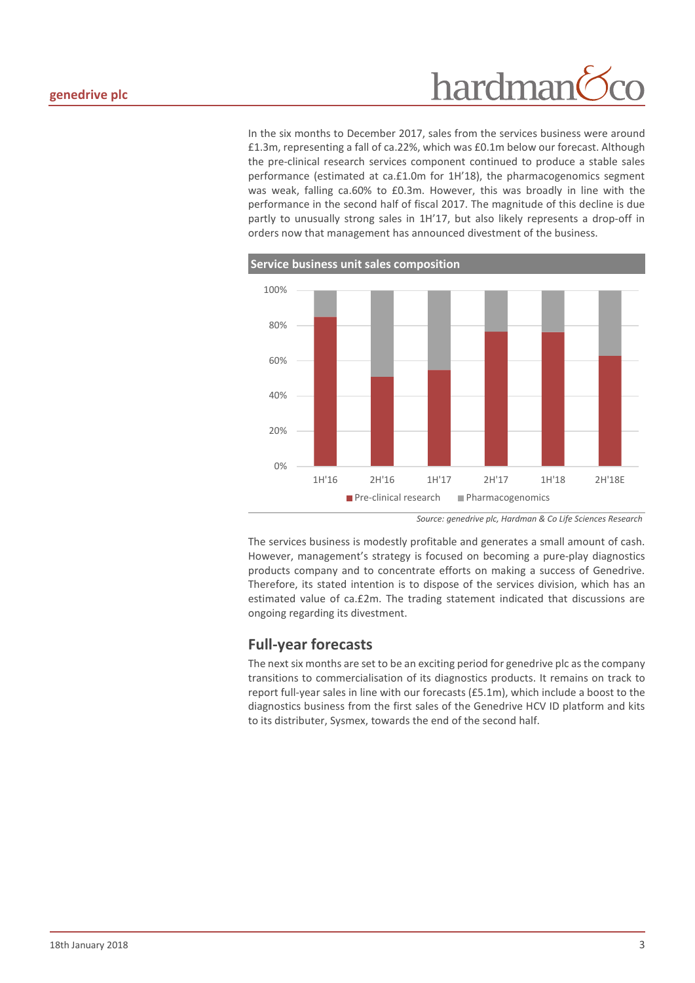# hardman

In the six months to December 2017, sales from the services business were around £1.3m, representing a fall of ca.22%, which was £0.1m below our forecast. Although the pre-clinical research services component continued to produce a stable sales performance (estimated at ca.£1.0m for 1H'18), the pharmacogenomics segment was weak, falling ca.60% to £0.3m. However, this was broadly in line with the performance in the second half of fiscal 2017. The magnitude of this decline is due partly to unusually strong sales in 1H'17, but also likely represents a drop-off in orders now that management has announced divestment of the business.



*Source: genedrive plc, Hardman & Co Life Sciences Research*

The services business is modestly profitable and generates a small amount of cash. However, management's strategy is focused on becoming a pure-play diagnostics products company and to concentrate efforts on making a success of Genedrive. Therefore, its stated intention is to dispose of the services division, which has an estimated value of ca.£2m. The trading statement indicated that discussions are ongoing regarding its divestment.

#### **Full-year forecasts**

The next six months are set to be an exciting period for genedrive plc as the company transitions to commercialisation of its diagnostics products. It remains on track to report full-year sales in line with our forecasts (£5.1m), which include a boost to the diagnostics business from the first sales of the Genedrive HCV ID platform and kits to its distributer, Sysmex, towards the end of the second half.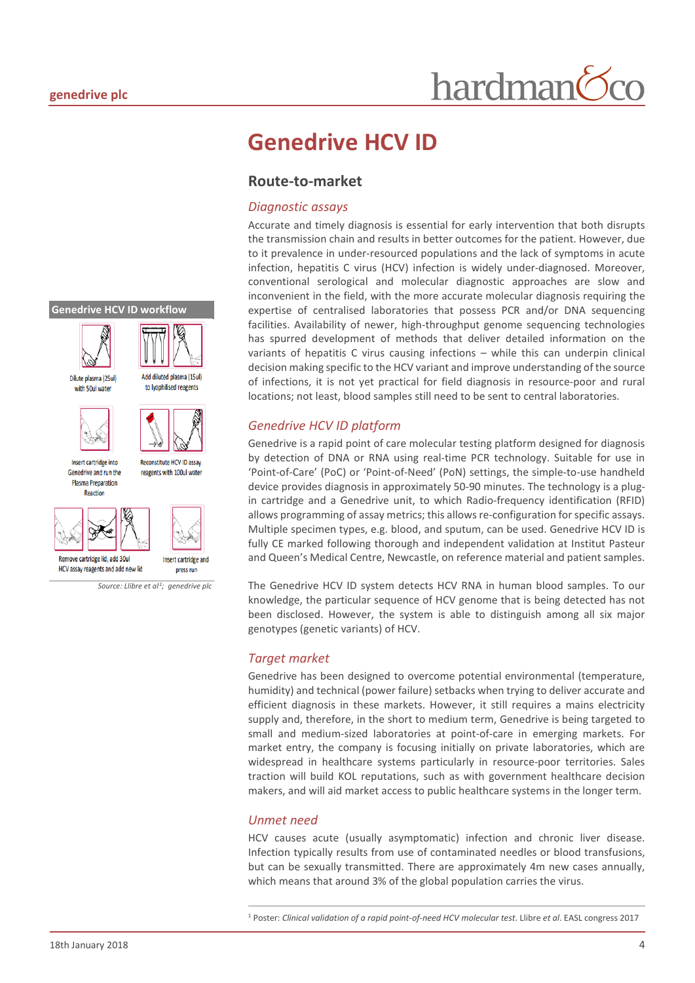## **Genedrive HCV ID**

#### **Route-to-market**

#### *Diagnostic assays*

Accurate and timely diagnosis is essential for early intervention that both disrupts the transmission chain and results in better outcomes for the patient. However, due to it prevalence in under-resourced populations and the lack of symptoms in acute infection, hepatitis C virus (HCV) infection is widely under-diagnosed. Moreover, conventional serological and molecular diagnostic approaches are slow and inconvenient in the field, with the more accurate molecular diagnosis requiring the expertise of centralised laboratories that possess PCR and/or DNA sequencing facilities. Availability of newer, high-throughput genome sequencing technologies has spurred development of methods that deliver detailed information on the variants of hepatitis C virus causing infections – while this can underpin clinical decision making specific to the HCV variant and improve understanding of the source of infections, it is not yet practical for field diagnosis in resource-poor and rural locations; not least, blood samples still need to be sent to central laboratories.

#### *Genedrive HCV ID platform*

Genedrive is a rapid point of care molecular testing platform designed for diagnosis by detection of DNA or RNA using real-time PCR technology. Suitable for use in 'Point-of-Care' (PoC) or 'Point-of-Need' (PoN) settings, the simple-to-use handheld device provides diagnosis in approximately 50-90 minutes. The technology is a plugin cartridge and a Genedrive unit, to which Radio-frequency identification (RFID) allows programming of assay metrics; this allows re-configuration for specific assays. Multiple specimen types, e.g. blood, and sputum, can be used. Genedrive HCV ID is fully CE marked following thorough and independent validation at Institut Pasteur and Queen's Medical Centre, Newcastle, on reference material and patient samples.

The Genedrive HCV ID system detects HCV RNA in human blood samples. To our knowledge, the particular sequence of HCV genome that is being detected has not been disclosed. However, the system is able to distinguish among all six major genotypes (genetic variants) of HCV.

#### *Target market*

Genedrive has been designed to overcome potential environmental (temperature, humidity) and technical (power failure) setbacks when trying to deliver accurate and efficient diagnosis in these markets. However, it still requires a mains electricity supply and, therefore, in the short to medium term, Genedrive is being targeted to small and medium-sized laboratories at point-of-care in emerging markets. For market entry, the company is focusing initially on private laboratories, which are widespread in healthcare systems particularly in resource-poor territories. Sales traction will build KOL reputations, such as with government healthcare decision makers, and will aid market access to public healthcare systems in the longer term.

#### *Unmet need*

HCV causes acute (usually asymptomatic) infection and chronic liver disease. Infection typically results from use of contaminated needles or blood transfusions, but can be sexually transmitted. There are approximately 4m new cases annually, which means that around 3% of the global population carries the virus.







reagents with 100ul water

Insert cartridge and

press run

Insert cartridge into Genedrive and run the **Plasma Prenaration** Reaction



Remove cartridge lid, add 30ul HCV assay reagents and add new lid

*Source: Llibre et al[1;](#page-3-0) genedrive plc*

<span id="page-3-0"></span> <sup>1</sup> Poster: *Clinical validation of a rapid point-of-need HCV molecular test*. Llibre *et al*. EASL congress 2017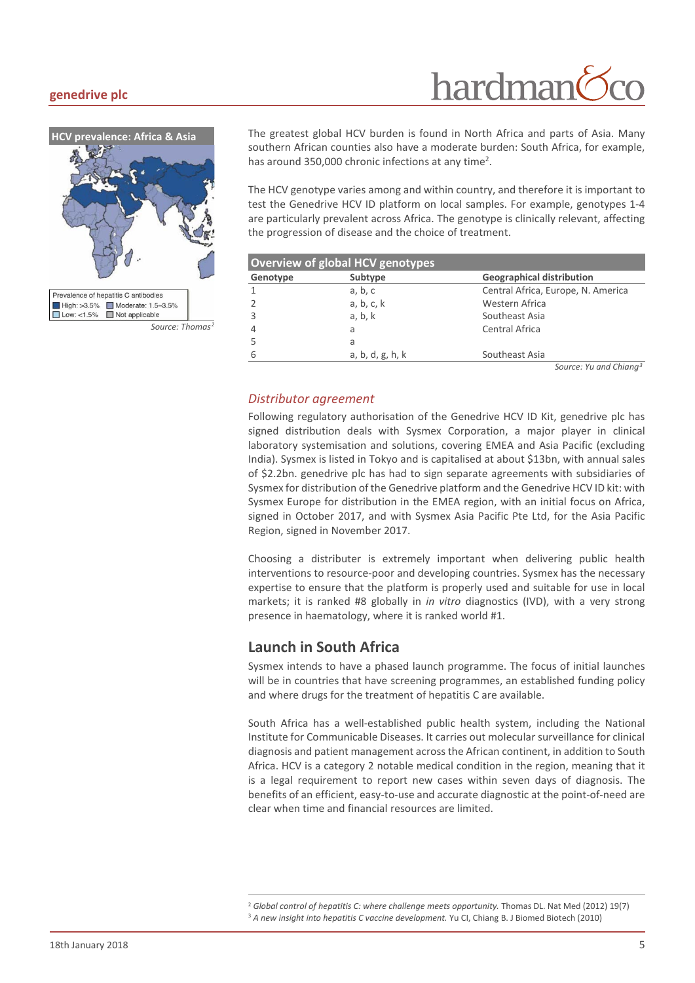#### **genedrive plc**





The greatest global HCV burden is found in North Africa and parts of Asia. Many southern African counties also have a moderate burden: South Africa, for example, has around 350,000 chronic infections at any time<sup>2</sup>.

The HCV genotype varies among and within country, and therefore it is important to test the Genedrive HCV ID platform on local samples. For example, genotypes 1-4 are particularly prevalent across Africa. The genotype is clinically relevant, affecting the progression of disease and the choice of treatment.

<span id="page-4-0"></span>

| <b>Overview of global HCV genotypes</b>                 |                  |                                    |  |  |
|---------------------------------------------------------|------------------|------------------------------------|--|--|
| Subtype<br><b>Geographical distribution</b><br>Genotype |                  |                                    |  |  |
|                                                         | a, b, c          | Central Africa, Europe, N. America |  |  |
|                                                         | a, b, c, k       | Western Africa                     |  |  |
|                                                         | a, b, k          | Southeast Asia                     |  |  |
|                                                         | a                | Central Africa                     |  |  |
|                                                         | a                |                                    |  |  |
|                                                         | a, b, d, g, h, k | Southeast Asia                     |  |  |

*Source: Yu and Chiang[3](#page-4-1)*

#### *Distributor agreement*

Following regulatory authorisation of the Genedrive HCV ID Kit, genedrive plc has signed distribution deals with Sysmex Corporation, a major player in clinical laboratory systemisation and solutions, covering EMEA and Asia Pacific (excluding India). Sysmex is listed in Tokyo and is capitalised at about \$13bn, with annual sales of \$2.2bn. genedrive plc has had to sign separate agreements with subsidiaries of Sysmex for distribution of the Genedrive platform and the Genedrive HCV ID kit: with Sysmex Europe for distribution in the EMEA region, with an initial focus on Africa, signed in October 2017, and with Sysmex Asia Pacific Pte Ltd, for the Asia Pacific Region, signed in November 2017.

Choosing a distributer is extremely important when delivering public health interventions to resource-poor and developing countries. Sysmex has the necessary expertise to ensure that the platform is properly used and suitable for use in local markets; it is ranked #8 globally in *in vitro* diagnostics (IVD), with a very strong presence in haematology, where it is ranked world #1.

#### **Launch in South Africa**

Sysmex intends to have a phased launch programme. The focus of initial launches will be in countries that have screening programmes, an established funding policy and where drugs for the treatment of hepatitis C are available.

South Africa has a well-established public health system, including the National Institute for Communicable Diseases. It carries out molecular surveillance for clinical diagnosis and patient management across the African continent, in addition to South Africa. HCV is a category 2 notable medical condition in the region, meaning that it is a legal requirement to report new cases within seven days of diagnosis. The benefits of an efficient, easy-to-use and accurate diagnostic at the point-of-need are clear when time and financial resources are limited.

<sup>&</sup>lt;sup>2</sup> Global control of hepatitis C: where challenge meets opportunity. Thomas DL. Nat Med (2012) 19(7) <sup>3</sup> *A new insight into hepatitis C vaccine development.* Yu CI, Chiang B. J Biomed Biotech (2010)

<span id="page-4-2"></span><span id="page-4-1"></span>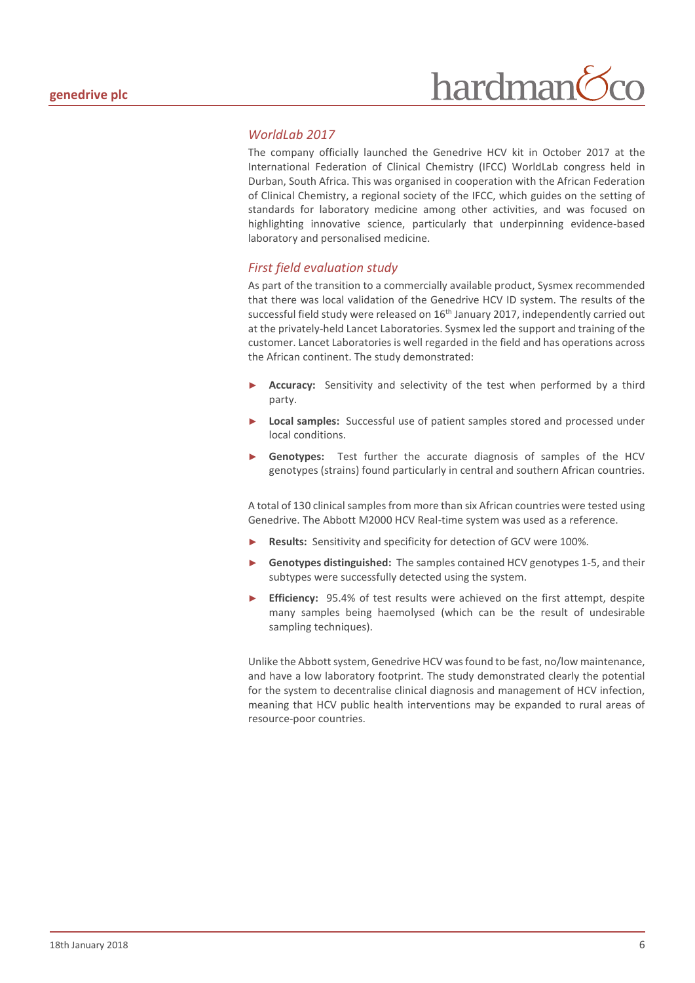#### *WorldLab 2017*

The company officially launched the Genedrive HCV kit in October 2017 at the International Federation of Clinical Chemistry (IFCC) WorldLab congress held in Durban, South Africa. This was organised in cooperation with the African Federation of Clinical Chemistry, a regional society of the IFCC, which guides on the setting of standards for laboratory medicine among other activities, and was focused on highlighting innovative science, particularly that underpinning evidence-based laboratory and personalised medicine.

#### *First field evaluation study*

As part of the transition to a commercially available product, Sysmex recommended that there was local validation of the Genedrive HCV ID system. The results of the successful field study were released on 16<sup>th</sup> January 2017, independently carried out at the privately-held Lancet Laboratories. Sysmex led the support and training of the customer. Lancet Laboratories is well regarded in the field and has operations across the African continent. The study demonstrated:

- Accuracy: Sensitivity and selectivity of the test when performed by a third party.
- ► **Local samples:** Successful use of patient samples stored and processed under local conditions.
- Genotypes: Test further the accurate diagnosis of samples of the HCV genotypes (strains) found particularly in central and southern African countries.

A total of 130 clinical samples from more than six African countries were tested using Genedrive. The Abbott M2000 HCV Real-time system was used as a reference.

- Results: Sensitivity and specificity for detection of GCV were 100%.
- Genotypes distinguished: The samples contained HCV genotypes 1-5, and their subtypes were successfully detected using the system.
- **Efficiency:** 95.4% of test results were achieved on the first attempt, despite many samples being haemolysed (which can be the result of undesirable sampling techniques).

Unlike the Abbott system, Genedrive HCV was found to be fast, no/low maintenance, and have a low laboratory footprint. The study demonstrated clearly the potential for the system to decentralise clinical diagnosis and management of HCV infection, meaning that HCV public health interventions may be expanded to rural areas of resource-poor countries.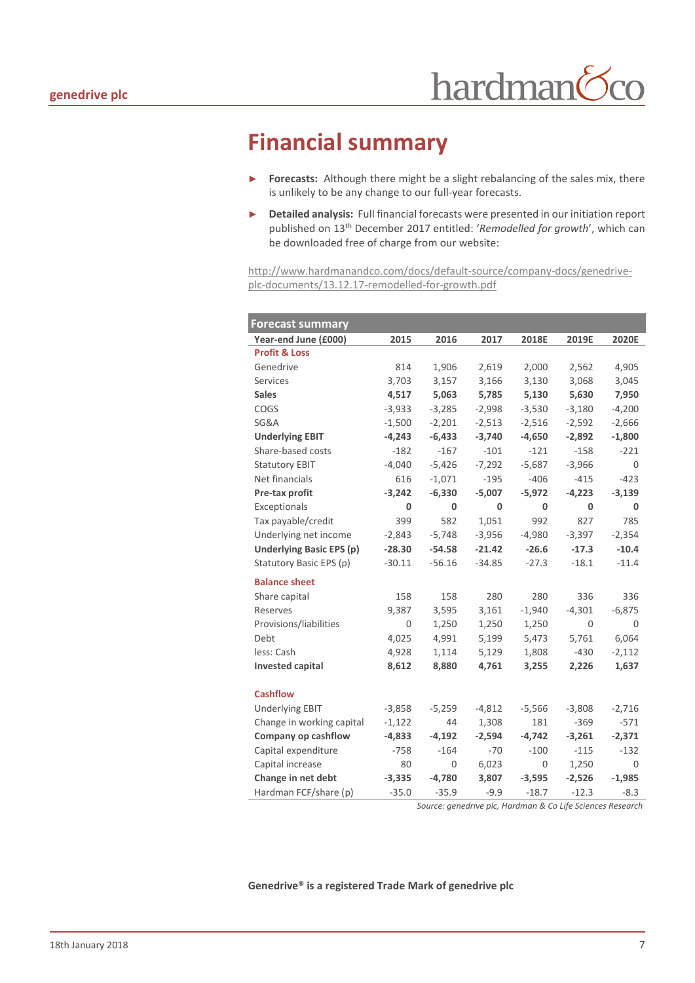## **Financial summary**

- ► **Forecasts:** Although there might be a slight rebalancing of the sales mix, there is unlikely to be any change to our full-year forecasts.
- ► **Detailed analysis:** Full financial forecasts were presented in our initiation report published on 13th December 2017 entitled: '*Remodelled for growth*', which can be downloaded free of charge from our website:

http://www.hardmanandco.com/docs/default-source/company-docs/genedriveplc-documents/13.12.17-remodelled-for-growth.pdf

| Forecast summary                |             |          |          |          |          |          |
|---------------------------------|-------------|----------|----------|----------|----------|----------|
| Year-end June (£000)            | 2015        | 2016     | 2017     | 2018E    | 2019E    | 2020E    |
| <b>Profit &amp; Loss</b>        |             |          |          |          |          |          |
| Genedrive                       | 814         | 1,906    | 2,619    | 2,000    | 2,562    | 4,905    |
| Services                        | 3,703       | 3,157    | 3,166    | 3,130    | 3,068    | 3,045    |
| <b>Sales</b>                    | 4,517       | 5,063    | 5,785    | 5,130    | 5,630    | 7,950    |
| COGS                            | $-3,933$    | $-3,285$ | $-2,998$ | $-3,530$ | $-3,180$ | $-4,200$ |
| SG&A                            | $-1,500$    | $-2,201$ | $-2,513$ | $-2,516$ | $-2,592$ | $-2,666$ |
| <b>Underlying EBIT</b>          | $-4,243$    | $-6,433$ | $-3,740$ | $-4,650$ | $-2,892$ | $-1,800$ |
| Share-based costs               | $-182$      | $-167$   | $-101$   | $-121$   | $-158$   | $-221$   |
| <b>Statutory EBIT</b>           | $-4,040$    | $-5,426$ | $-7,292$ | $-5,687$ | $-3,966$ | 0        |
| Net financials                  | 616         | $-1,071$ | $-195$   | $-406$   | $-415$   | $-423$   |
| Pre-tax profit                  | $-3,242$    | $-6,330$ | $-5,007$ | $-5,972$ | $-4,223$ | $-3,139$ |
| Exceptionals                    | 0           | 0        | 0        | 0        | 0        | 0        |
| Tax payable/credit              | 399         | 582      | 1,051    | 992      | 827      | 785      |
| Underlying net income           | $-2,843$    | $-5,748$ | $-3,956$ | $-4,980$ | $-3,397$ | $-2,354$ |
| <b>Underlying Basic EPS (p)</b> | $-28.30$    | $-54.58$ | $-21.42$ | $-26.6$  | $-17.3$  | $-10.4$  |
| Statutory Basic EPS (p)         | $-30.11$    | $-56.16$ | $-34.85$ | $-27.3$  | $-18.1$  | $-11.4$  |
| <b>Balance sheet</b>            |             |          |          |          |          |          |
| Share capital                   | 158         | 158      | 280      | 280      | 336      | 336      |
| Reserves                        | 9,387       | 3,595    | 3,161    | $-1,940$ | $-4,301$ | $-6,875$ |
| Provisions/liabilities          | $\mathbf 0$ | 1,250    | 1,250    | 1,250    | 0        | 0        |
| Debt                            | 4,025       | 4,991    | 5,199    | 5,473    | 5,761    | 6,064    |
| less: Cash                      | 4,928       | 1,114    | 5,129    | 1,808    | $-430$   | $-2,112$ |
| <b>Invested capital</b>         | 8,612       | 8,880    | 4,761    | 3,255    | 2,226    | 1,637    |
| <b>Cashflow</b>                 |             |          |          |          |          |          |
| <b>Underlying EBIT</b>          | $-3,858$    | $-5,259$ | $-4,812$ | $-5,566$ | $-3,808$ | $-2,716$ |
| Change in working capital       | $-1,122$    | 44       | 1,308    | 181      | $-369$   | $-571$   |
| Company op cashflow             | $-4,833$    | $-4,192$ | $-2,594$ | $-4,742$ | $-3,261$ | $-2,371$ |
| Capital expenditure             | $-758$      | $-164$   | $-70$    | $-100$   | $-115$   | $-132$   |
| Capital increase                | 80          | 0        | 6,023    | 0        | 1,250    | 0        |
| Change in net debt              | $-3,335$    | $-4,780$ | 3,807    | $-3,595$ | $-2,526$ | $-1,985$ |
| Hardman FCF/share (p)           | $-35.0$     | $-35.9$  | $-9.9$   | $-18.7$  | $-12.3$  | $-8.3$   |

*Source: genedrive plc, Hardman & Co Life Sciences Research*

#### **Genedrive® is a registered Trade Mark of genedrive plc**